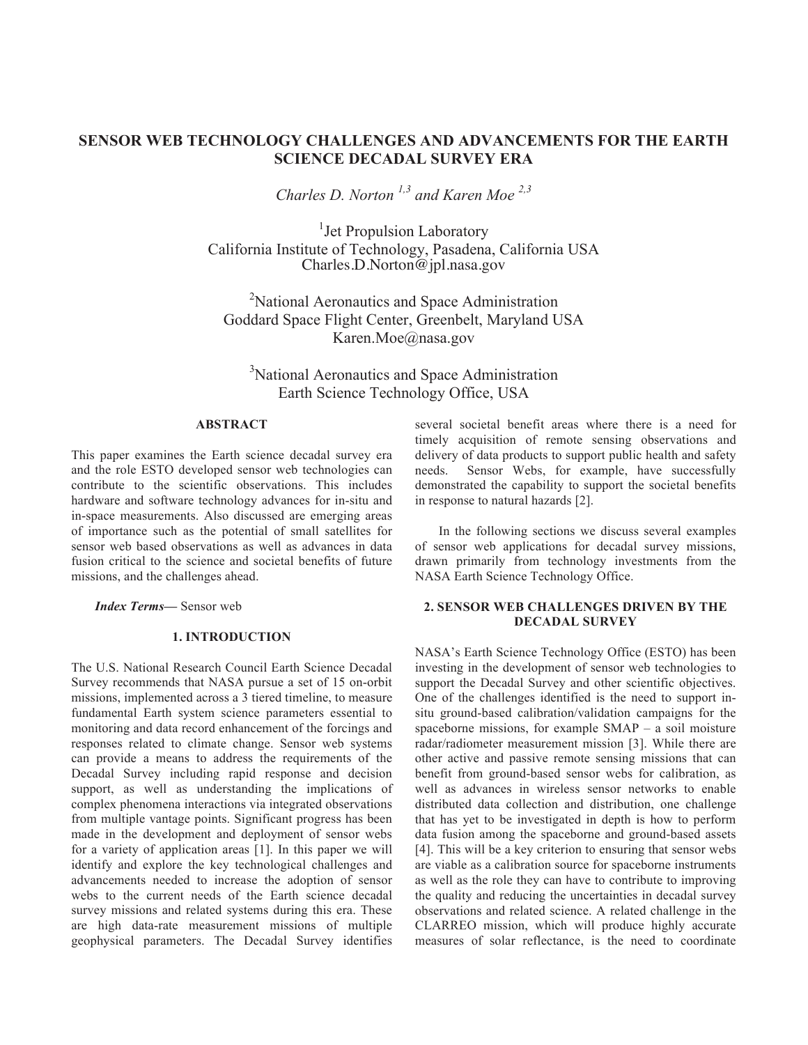# **SENSOR WEB TECHNOLOGY CHALLENGES AND ADVANCEMENTS FOR THE EARTH SCIENCE DECADAL SURVEY ERA**

*Charles D. Norton 1,3 and Karen Moe 2,3*

<sup>1</sup>Jet Propulsion Laboratory California Institute of Technology, Pasadena, California USA Charles.D.Norton@jpl.nasa.gov

<sup>2</sup>National Aeronautics and Space Administration Goddard Space Flight Center, Greenbelt, Maryland USA Karen.Moe@nasa.gov

<sup>3</sup>National Aeronautics and Space Administration Earth Science Technology Office, USA

### **ABSTRACT**

This paper examines the Earth science decadal survey era and the role ESTO developed sensor web technologies can contribute to the scientific observations. This includes hardware and software technology advances for in-situ and in-space measurements. Also discussed are emerging areas of importance such as the potential of small satellites for sensor web based observations as well as advances in data fusion critical to the science and societal benefits of future missions, and the challenges ahead.

*Index Terms—* Sensor web

#### **1. INTRODUCTION**

The U.S. National Research Council Earth Science Decadal Survey recommends that NASA pursue a set of 15 on-orbit missions, implemented across a 3 tiered timeline, to measure fundamental Earth system science parameters essential to monitoring and data record enhancement of the forcings and responses related to climate change. Sensor web systems can provide a means to address the requirements of the Decadal Survey including rapid response and decision support, as well as understanding the implications of complex phenomena interactions via integrated observations from multiple vantage points. Significant progress has been made in the development and deployment of sensor webs for a variety of application areas [1]. In this paper we will identify and explore the key technological challenges and advancements needed to increase the adoption of sensor webs to the current needs of the Earth science decadal survey missions and related systems during this era. These are high data-rate measurement missions of multiple geophysical parameters. The Decadal Survey identifies

several societal benefit areas where there is a need for timely acquisition of remote sensing observations and delivery of data products to support public health and safety needs. Sensor Webs, for example, have successfully demonstrated the capability to support the societal benefits in response to natural hazards [2].

In the following sections we discuss several examples of sensor web applications for decadal survey missions, drawn primarily from technology investments from the NASA Earth Science Technology Office.

## **2. SENSOR WEB CHALLENGES DRIVEN BY THE DECADAL SURVEY**

NASA's Earth Science Technology Office (ESTO) has been investing in the development of sensor web technologies to support the Decadal Survey and other scientific objectives. One of the challenges identified is the need to support insitu ground-based calibration/validation campaigns for the spaceborne missions, for example SMAP – a soil moisture radar/radiometer measurement mission [3]. While there are other active and passive remote sensing missions that can benefit from ground-based sensor webs for calibration, as well as advances in wireless sensor networks to enable distributed data collection and distribution, one challenge that has yet to be investigated in depth is how to perform data fusion among the spaceborne and ground-based assets [4]. This will be a key criterion to ensuring that sensor webs are viable as a calibration source for spaceborne instruments as well as the role they can have to contribute to improving the quality and reducing the uncertainties in decadal survey observations and related science. A related challenge in the CLARREO mission, which will produce highly accurate measures of solar reflectance, is the need to coordinate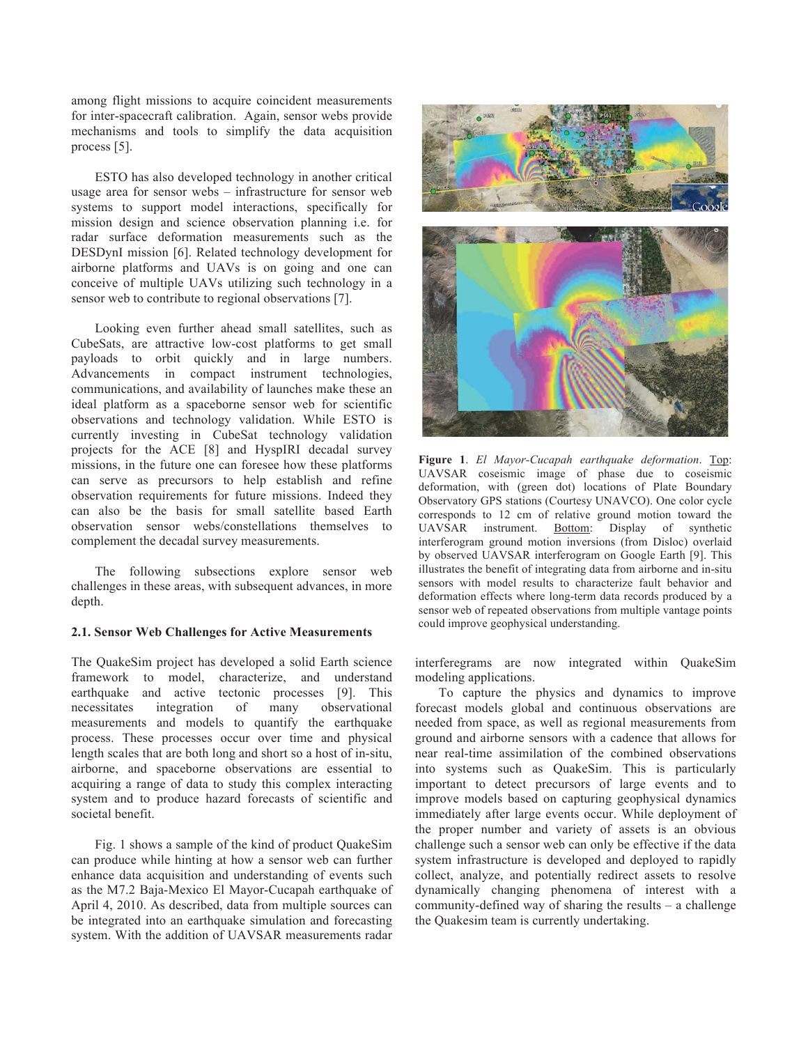among flight missions to acquire coincident measurements for inter-spacecraft calibration. Again, sensor webs provide mechanisms and tools to simplify the data acquisition process [5].

ESTO has also developed technology in another critical usage area for sensor webs – infrastructure for sensor web systems to support model interactions, specifically for mission design and science observation planning i.e. for radar surface deformation measurements such as the DESDynI mission [6]. Related technology development for airborne platforms and UAVs is on going and one can conceive of multiple UAVs utilizing such technology in a sensor web to contribute to regional observations [7].

Looking even further ahead small satellites, such as CubeSats, are attractive low-cost platforms to get small payloads to orbit quickly and in large numbers. Advancements in compact instrument technologies, communications, and availability of launches make these an ideal platform as a spaceborne sensor web for scientific observations and technology validation. While ESTO is currently investing in CubeSat technology validation projects for the ACE [8] and HyspIRI decadal survey missions, in the future one can foresee how these platforms can serve as precursors to help establish and refine observation requirements for future missions. Indeed they can also be the basis for small satellite based Earth observation sensor webs/constellations themselves to complement the decadal survey measurements.

The following subsections explore sensor web challenges in these areas, with subsequent advances, in more depth.

## **2.1. Sensor Web Challenges for Active Measurements**

The QuakeSim project has developed a solid Earth science framework to model, characterize, and understand earthquake and active tectonic processes [9]. This necessitates integration of many observational measurements and models to quantify the earthquake process. These processes occur over time and physical length scales that are both long and short so a host of in-situ, airborne, and spaceborne observations are essential to acquiring a range of data to study this complex interacting system and to produce hazard forecasts of scientific and societal benefit.

Fig. 1 shows a sample of the kind of product QuakeSim can produce while hinting at how a sensor web can further enhance data acquisition and understanding of events such as the M7.2 Baja-Mexico El Mayor-Cucapah earthquake of April 4, 2010. As described, data from multiple sources can be integrated into an earthquake simulation and forecasting system. With the addition of UAVSAR measurements radar



**Figure 1**. *El Mayor-Cucapah earthquake deformation*. Top: UAVSAR coseismic image of phase due to coseismic deformation, with (green dot) locations of Plate Boundary Observatory GPS stations (Courtesy UNAVCO). One color cycle corresponds to 12 cm of relative ground motion toward the UAVSAR instrument. Bottom: Display of synthetic interferogram ground motion inversions (from Disloc) overlaid by observed UAVSAR interferogram on Google Earth [9]. This illustrates the benefit of integrating data from airborne and in-situ sensors with model results to characterize fault behavior and deformation effects where long-term data records produced by a sensor web of repeated observations from multiple vantage points could improve geophysical understanding.

interferegrams are now integrated within QuakeSim modeling applications.

To capture the physics and dynamics to improve forecast models global and continuous observations are needed from space, as well as regional measurements from ground and airborne sensors with a cadence that allows for near real-time assimilation of the combined observations into systems such as QuakeSim. This is particularly important to detect precursors of large events and to improve models based on capturing geophysical dynamics immediately after large events occur. While deployment of the proper number and variety of assets is an obvious challenge such a sensor web can only be effective if the data system infrastructure is developed and deployed to rapidly collect, analyze, and potentially redirect assets to resolve dynamically changing phenomena of interest with a community-defined way of sharing the results – a challenge the Quakesim team is currently undertaking.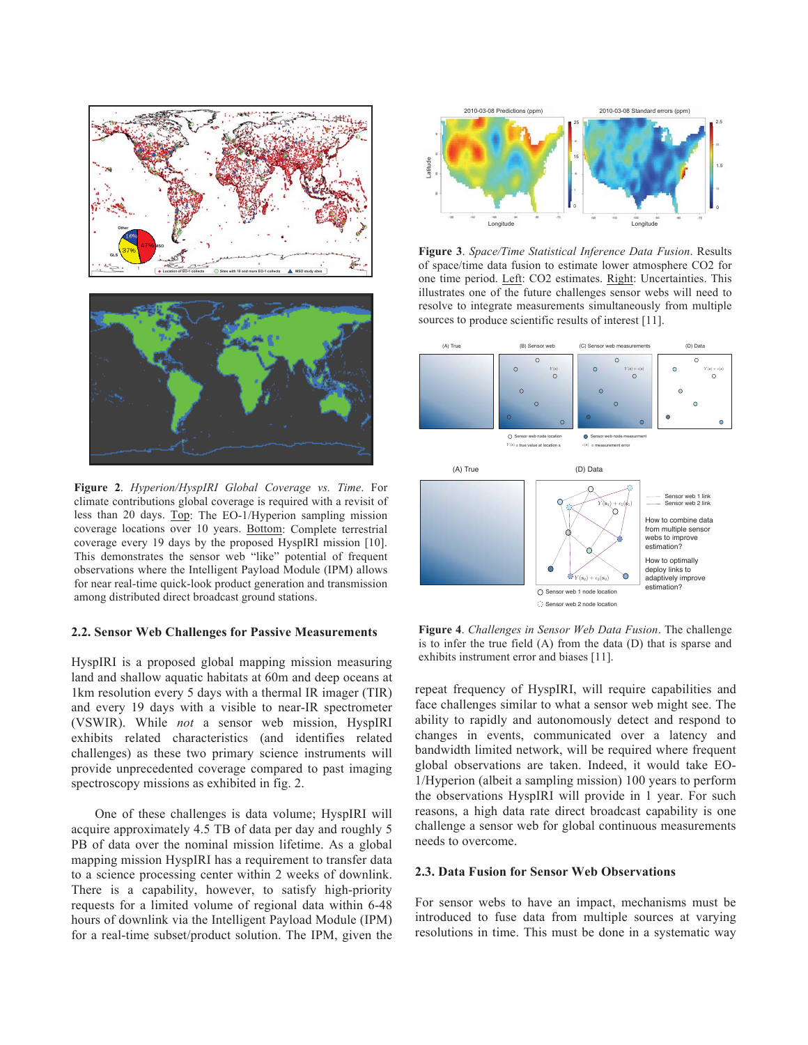

**Figure 2**. *Hyperion/HyspIRI Global Coverage vs. Time*. For climate contributions global coverage is required with a revisit of less than 20 days. Top: The EO-1/Hyperion sampling mission coverage locations over 10 years. Bottom: Complete terrestrial coverage every 19 days by the proposed HyspIRI mission [10]. This demonstrates the sensor web "like" potential of frequent observations where the Intelligent Payload Module (IPM) allows for near real-time quick-look product generation and transmission among distributed direct broadcast ground stations.

#### **2.2. Sensor Web Challenges for Passive Measurements**

HyspIRI is a proposed global mapping mission measuring land and shallow aquatic habitats at 60m and deep oceans at 1km resolution every 5 days with a thermal IR imager (TIR) and every 19 days with a visible to near-IR spectrometer (VSWIR). While *not* a sensor web mission, HyspIRI exhibits related characteristics (and identifies related challenges) as these two primary science instruments will provide unprecedented coverage compared to past imaging spectroscopy missions as exhibited in fig. 2.

One of these challenges is data volume; HyspIRI will acquire approximately 4.5 TB of data per day and roughly 5 PB of data over the nominal mission lifetime. As a global mapping mission HyspIRI has a requirement to transfer data to a science processing center within 2 weeks of downlink. There is a capability, however, to satisfy high-priority requests for a limited volume of regional data within 6-48 hours of downlink via the Intelligent Payload Module (IPM) for a real-time subset/product solution. The IPM, given the



**Figure 3**. *Space/Time Statistical Inference Data Fusion*. Results of space/time data fusion to estimate lower atmosphere CO2 for one time period. Left: CO2 estimates. Right: Uncertainties. This illustrates one of the future challenges sensor webs will need to resolve to integrate measurements simultaneously from multiple sources to produce scientific results of interest [11].



**Figure 4**. *Challenges in Sensor Web Data Fusion*. The challenge is to infer the true field (A) from the data (D) that is sparse and exhibits instrument error and biases [11].

repeat frequency of HyspIRI, will require capabilities and face challenges similar to what a sensor web might see. The ability to rapidly and autonomously detect and respond to changes in events, communicated over a latency and bandwidth limited network, will be required where frequent global observations are taken. Indeed, it would take EO-1/Hyperion (albeit a sampling mission) 100 years to perform the observations HyspIRI will provide in 1 year. For such reasons, a high data rate direct broadcast capability is one challenge a sensor web for global continuous measurements needs to overcome.

#### **2.3. Data Fusion for Sensor Web Observations**

For sensor webs to have an impact, mechanisms must be introduced to fuse data from multiple sources at varying resolutions in time. This must be done in a systematic way